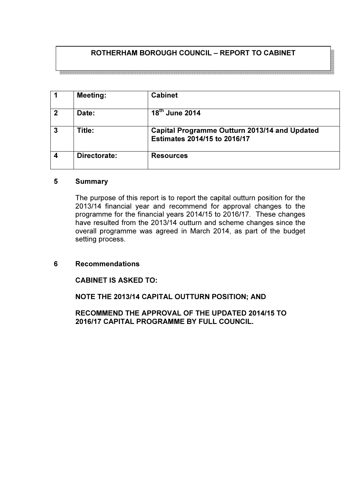# ROTHERHAM BOROUGH COUNCIL – REPORT TO CABINET

1 | Meeting: | Cabinet 2 Date:  $18^{th}$  June 2014 3 Title: Capital Programme Outturn 2013/14 and Updated Estimates 2014/15 to 2016/17 4 Directorate: Resources

### 5 Summary

The purpose of this report is to report the capital outturn position for the 2013/14 financial year and recommend for approval changes to the programme for the financial years 2014/15 to 2016/17. These changes have resulted from the 2013/14 outturn and scheme changes since the overall programme was agreed in March 2014, as part of the budget setting process.

## 6 Recommendations

CABINET IS ASKED TO:

NOTE THE 2013/14 CAPITAL OUTTURN POSITION; AND

RECOMMEND THE APPROVAL OF THE UPDATED 2014/15 TO 2016/17 CAPITAL PROGRAMME BY FULL COUNCIL.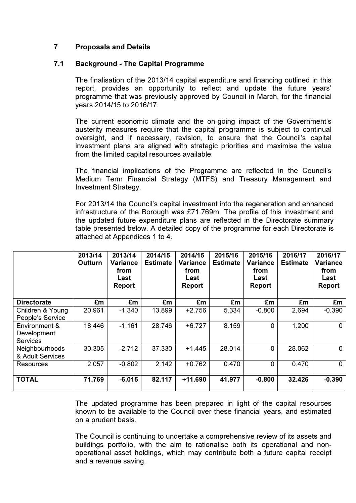## 7 Proposals and Details

### 7.1 Background - The Capital Programme

The finalisation of the 2013/14 capital expenditure and financing outlined in this report, provides an opportunity to reflect and update the future years' programme that was previously approved by Council in March, for the financial years 2014/15 to 2016/17.

The current economic climate and the on-going impact of the Government's austerity measures require that the capital programme is subject to continual oversight, and if necessary, revision, to ensure that the Council's capital investment plans are aligned with strategic priorities and maximise the value from the limited capital resources available.

The financial implications of the Programme are reflected in the Council's Medium Term Financial Strategy (MTFS) and Treasury Management and Investment Strategy.

For 2013/14 the Council's capital investment into the regeneration and enhanced infrastructure of the Borough was £71.769m. The profile of this investment and the updated future expenditure plans are reflected in the Directorate summary table presented below. A detailed copy of the programme for each Directorate is attached at Appendices 1 to 4.

|                                                 | 2013/14<br>Outturn | 2013/14<br><b>Variance</b><br>from<br>Last<br><b>Report</b> | 2014/15<br><b>Estimate</b> | 2014/15<br>Variance<br>from<br>Last<br><b>Report</b> | 2015/16<br><b>Estimate</b> | 2015/16<br><b>Variance</b><br>from<br>Last<br>Report | 2016/17<br><b>Estimate</b> | 2016/17<br><b>Variance</b><br>from<br>Last<br><b>Report</b> |
|-------------------------------------------------|--------------------|-------------------------------------------------------------|----------------------------|------------------------------------------------------|----------------------------|------------------------------------------------------|----------------------------|-------------------------------------------------------------|
| <b>Directorate</b>                              | £m                 | £m                                                          | £m                         | £m                                                   | £m                         | £m                                                   | £m                         | £m                                                          |
| Children & Young<br>People's Service            | 20.961             | $-1.340$                                                    | 13.899                     | $+2.756$                                             | 5.334                      | $-0.800$                                             | 2.694                      | $-0.390$                                                    |
| Environment &<br>Development<br><b>Services</b> | 18.446             | $-1.161$                                                    | 28.746                     | $+6.727$                                             | 8.159                      | $\Omega$                                             | 1.200                      | 0                                                           |
| Neighbourhoods<br>& Adult Services              | 30.305             | $-2.712$                                                    | 37.330                     | $+1.445$                                             | 28.014                     | 0                                                    | 28.062                     | 0                                                           |
| Resources                                       | 2.057              | $-0.802$                                                    | 2.142                      | $+0.762$                                             | 0.470                      | 0                                                    | 0.470                      | $\mathbf{0}$                                                |
| <b>TOTAL</b>                                    | 71.769             | $-6.015$                                                    | 82.117                     | $+11.690$                                            | 41.977                     | $-0.800$                                             | 32.426                     | $-0.390$                                                    |

The updated programme has been prepared in light of the capital resources known to be available to the Council over these financial years, and estimated on a prudent basis.

The Council is continuing to undertake a comprehensive review of its assets and buildings portfolio, with the aim to rationalise both its operational and nonoperational asset holdings, which may contribute both a future capital receipt and a revenue saving.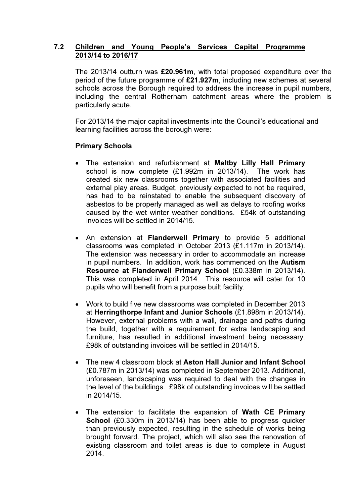## 7.2 Children and Young People's Services Capital Programme 2013/14 to 2016/17

The 2013/14 outturn was £20.961m, with total proposed expenditure over the period of the future programme of £21.927m, including new schemes at several schools across the Borough required to address the increase in pupil numbers, including the central Rotherham catchment areas where the problem is particularly acute.

For 2013/14 the major capital investments into the Council's educational and learning facilities across the borough were:

## Primary Schools

- The extension and refurbishment at Maltby Lilly Hall Primary school is now complete (£1.992m in 2013/14). The work has created six new classrooms together with associated facilities and external play areas. Budget, previously expected to not be required, has had to be reinstated to enable the subsequent discovery of asbestos to be properly managed as well as delays to roofing works caused by the wet winter weather conditions. £54k of outstanding invoices will be settled in 2014/15.
- An extension at Flanderwell Primary to provide 5 additional classrooms was completed in October 2013 (£1.117m in 2013/14). The extension was necessary in order to accommodate an increase in pupil numbers. In addition, work has commenced on the Autism Resource at Flanderwell Primary School (£0.338m in 2013/14). This was completed in April 2014. This resource will cater for 10 pupils who will benefit from a purpose built facility.
- Work to build five new classrooms was completed in December 2013 at Herringthorpe Infant and Junior Schools (£1.898m in 2013/14). However, external problems with a wall, drainage and paths during the build, together with a requirement for extra landscaping and furniture, has resulted in additional investment being necessary. £98k of outstanding invoices will be settled in 2014/15.
- The new 4 classroom block at Aston Hall Junior and Infant School (£0.787m in 2013/14) was completed in September 2013. Additional, unforeseen, landscaping was required to deal with the changes in the level of the buildings. £98k of outstanding invoices will be settled in 2014/15.
- The extension to facilitate the expansion of Wath CE Primary School (£0.330m in 2013/14) has been able to progress quicker than previously expected, resulting in the schedule of works being brought forward. The project, which will also see the renovation of existing classroom and toilet areas is due to complete in August 2014.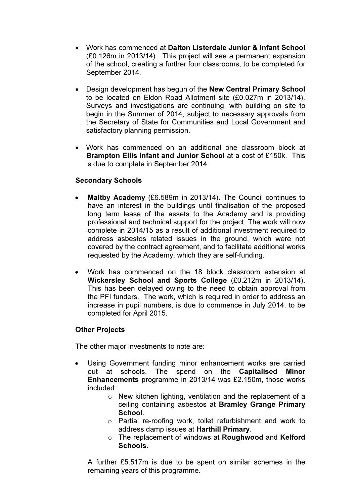- Work has commenced at Dalton Listerdale Junior & Infant School (£0.126m in 2013/14). This project will see a permanent expansion of the school, creating a further four classrooms, to be completed for September 2014.
- Design development has begun of the New Central Primary School to be located on Eldon Road Allotment site (£0.027m in 2013/14). Surveys and investigations are continuing, with building on site to begin in the Summer of 2014, subject to necessary approvals from the Secretary of State for Communities and Local Government and satisfactory planning permission.
- Work has commenced on an additional one classroom block at Brampton Ellis Infant and Junior School at a cost of £150k. This is due to complete in September 2014.

## Secondary Schools

- Maltby Academy (£6.589m in 2013/14). The Council continues to have an interest in the buildings until finalisation of the proposed long term lease of the assets to the Academy and is providing professional and technical support for the project. The work will now complete in 2014/15 as a result of additional investment required to address asbestos related issues in the ground, which were not covered by the contract agreement, and to facilitate additional works requested by the Academy, which they are self-funding.
- Work has commenced on the 18 block classroom extension at Wickersley School and Sports College (£0.212m in 2013/14). This has been delayed owing to the need to obtain approval from the PFI funders. The work, which is required in order to address an increase in pupil numbers, is due to commence in July 2014, to be completed for April 2015.

## Other Projects

The other major investments to note are:

- Using Government funding minor enhancement works are carried out at schools. The spend on the Capitalised Minor Enhancements programme in 2013/14 was £2.150m, those works included:
	- o New kitchen lighting, ventilation and the replacement of a ceiling containing asbestos at Bramley Grange Primary School.
	- o Partial re-roofing work, toilet refurbishment and work to address damp issues at Harthill Primary.
	- o The replacement of windows at Roughwood and Kelford Schools.

A further £5.517m is due to be spent on similar schemes in the remaining years of this programme.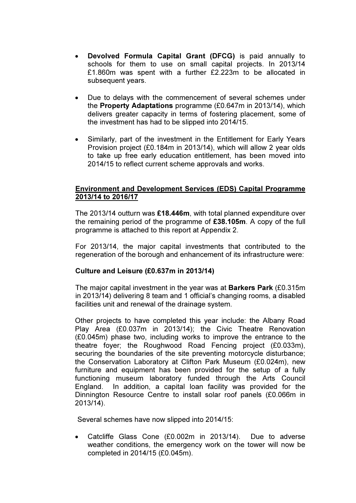- Devolved Formula Capital Grant (DFCG) is paid annually to schools for them to use on small capital projects. In 2013/14 £1.860m was spent with a further £2.223m to be allocated in subsequent years.
- Due to delays with the commencement of several schemes under the Property Adaptations programme (£0.647m in 2013/14), which delivers greater capacity in terms of fostering placement, some of the investment has had to be slipped into 2014/15.
- Similarly, part of the investment in the Entitlement for Early Years Provision project (£0.184m in 2013/14), which will allow 2 year olds to take up free early education entitlement, has been moved into 2014/15 to reflect current scheme approvals and works.

## Environment and Development Services (EDS) Capital Programme 2013/14 to 2016/17

The 2013/14 outturn was £18.446m, with total planned expenditure over the remaining period of the programme of £38.105m. A copy of the full programme is attached to this report at Appendix 2.

For 2013/14, the major capital investments that contributed to the regeneration of the borough and enhancement of its infrastructure were:

## Culture and Leisure (£0.637m in 2013/14)

The major capital investment in the year was at **Barkers Park** (£0.315m) in 2013/14) delivering 8 team and 1 official's changing rooms, a disabled facilities unit and renewal of the drainage system.

Other projects to have completed this year include: the Albany Road Play Area (£0.037m in 2013/14); the Civic Theatre Renovation (£0.045m) phase two, including works to improve the entrance to the theatre foyer; the Roughwood Road Fencing project (£0.033m), securing the boundaries of the site preventing motorcycle disturbance; the Conservation Laboratory at Clifton Park Museum (£0.024m), new furniture and equipment has been provided for the setup of a fully functioning museum laboratory funded through the Arts Council England. In addition, a capital loan facility was provided for the Dinnington Resource Centre to install solar roof panels (£0.066m in 2013/14).

Several schemes have now slipped into 2014/15:

• Catcliffe Glass Cone (£0.002m in 2013/14). Due to adverse weather conditions, the emergency work on the tower will now be completed in 2014/15 (£0.045m).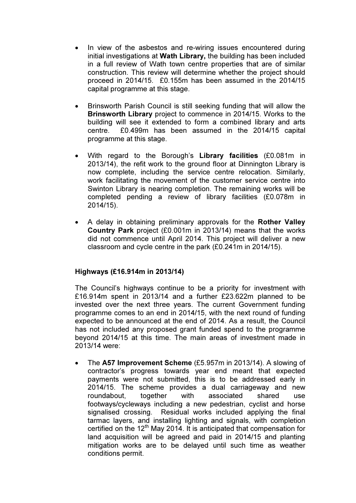- In view of the asbestos and re-wiring issues encountered during initial investigations at Wath Library, the building has been included in a full review of Wath town centre properties that are of similar construction. This review will determine whether the project should proceed in 2014/15. £0.155m has been assumed in the 2014/15 capital programme at this stage.
- Brinsworth Parish Council is still seeking funding that will allow the Brinsworth Library project to commence in 2014/15. Works to the building will see it extended to form a combined library and arts centre. £0.499m has been assumed in the 2014/15 capital programme at this stage.
- With regard to the Borough's Library facilities (£0.081m in 2013/14), the refit work to the ground floor at Dinnington Library is now complete, including the service centre relocation. Similarly, work facilitating the movement of the customer service centre into Swinton Library is nearing completion. The remaining works will be completed pending a review of library facilities (£0.078m in 2014/15).
- A delay in obtaining preliminary approvals for the Rother Valley Country Park project (£0.001m in 2013/14) means that the works did not commence until April 2014. This project will deliver a new classroom and cycle centre in the park (£0.241m in 2014/15).

## Highways (£16.914m in 2013/14)

The Council's highways continue to be a priority for investment with £16.914m spent in 2013/14 and a further £23.622m planned to be invested over the next three years. The current Government funding programme comes to an end in 2014/15, with the next round of funding expected to be announced at the end of 2014. As a result, the Council has not included any proposed grant funded spend to the programme beyond 2014/15 at this time. The main areas of investment made in 2013/14 were:

The A57 Improvement Scheme (£5.957m in 2013/14). A slowing of contractor's progress towards year end meant that expected payments were not submitted, this is to be addressed early in 2014/15. The scheme provides a dual carriageway and new roundabout, together with associated shared use footways/cycleways including a new pedestrian, cyclist and horse signalised crossing. Residual works included applying the final tarmac layers, and installing lighting and signals, with completion certified on the 12<sup>th</sup> May 2014. It is anticipated that compensation for land acquisition will be agreed and paid in 2014/15 and planting mitigation works are to be delayed until such time as weather conditions permit.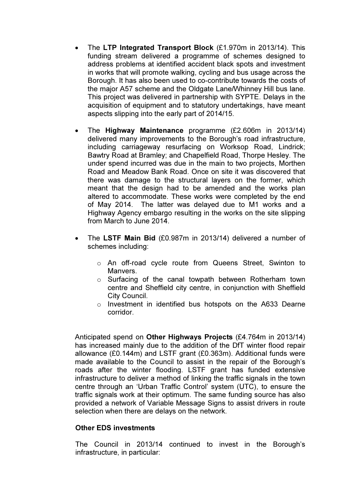- The LTP Integrated Transport Block (£1.970m in 2013/14). This funding stream delivered a programme of schemes designed to address problems at identified accident black spots and investment in works that will promote walking, cycling and bus usage across the Borough. It has also been used to co-contribute towards the costs of the major A57 scheme and the Oldgate Lane/Whinney Hill bus lane. This project was delivered in partnership with SYPTE. Delays in the acquisition of equipment and to statutory undertakings, have meant aspects slipping into the early part of 2014/15.
- The Highway Maintenance programme (£2.606m in 2013/14) delivered many improvements to the Borough's road infrastructure, including carriageway resurfacing on Worksop Road, Lindrick; Bawtry Road at Bramley; and Chapelfield Road, Thorpe Hesley. The under spend incurred was due in the main to two projects, Morthen Road and Meadow Bank Road. Once on site it was discovered that there was damage to the structural layers on the former, which meant that the design had to be amended and the works plan altered to accommodate. These works were completed by the end of May 2014. The latter was delayed due to M1 works and a Highway Agency embargo resulting in the works on the site slipping from March to June 2014.
- The LSTF Main Bid (£0.987m in 2013/14) delivered a number of schemes including:
	- o An off-road cycle route from Queens Street, Swinton to Manvers.
	- o Surfacing of the canal towpath between Rotherham town centre and Sheffield city centre, in conjunction with Sheffield City Council.
	- o Investment in identified bus hotspots on the A633 Dearne corridor.

Anticipated spend on Other Highways Projects (£4.764m in 2013/14) has increased mainly due to the addition of the DfT winter flood repair allowance (£0.144m) and LSTF grant (£0.363m). Additional funds were made available to the Council to assist in the repair of the Borough's roads after the winter flooding. LSTF grant has funded extensive infrastructure to deliver a method of linking the traffic signals in the town centre through an 'Urban Traffic Control' system (UTC), to ensure the traffic signals work at their optimum. The same funding source has also provided a network of Variable Message Signs to assist drivers in route selection when there are delays on the network.

#### Other EDS investments

The Council in 2013/14 continued to invest in the Borough's infrastructure, in particular: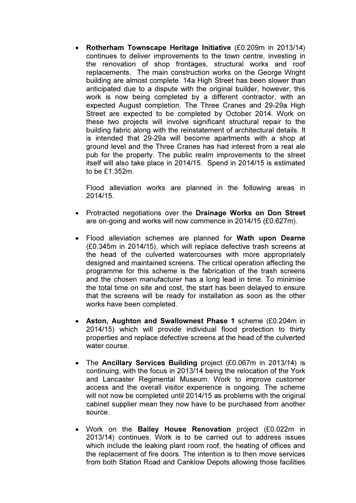• Rotherham Townscape Heritage Initiative (£0.209m in 2013/14) continues to deliver improvements to the town centre, investing in the renovation of shop frontages, structural works and roof replacements. The main construction works on the George Wright building are almost complete. 14a High Street has been slower than anticipated due to a dispute with the original builder, however, this work is now being completed by a different contractor, with an expected August completion. The Three Cranes and 29-29a High Street are expected to be completed by October 2014. Work on these two projects will involve significant structural repair to the building fabric along with the reinstatement of architectural details. It is intended that 29-29a will become apartments with a shop at ground level and the Three Cranes has had interest from a real ale pub for the property. The public realm improvements to the street itself will also take place in 2014/15. Spend in 2014/15 is estimated to be £1.352m.

Flood alleviation works are planned in the following areas in 2014/15.

- Protracted negotiations over the Drainage Works on Don Street are on-going and works will now commence in 2014/15 (£0.627m).
- Flood alleviation schemes are planned for Wath upon Dearne (£0.345m in 2014/15), which will replace defective trash screens at the head of the culverted watercourses with more appropriately designed and maintained screens. The critical operation affecting the programme for this scheme is the fabrication of the trash screens and the chosen manufacturer has a long lead in time. To minimise the total time on site and cost, the start has been delayed to ensure that the screens will be ready for installation as soon as the other works have been completed.
- Aston, Aughton and Swallownest Phase 1 scheme (£0.204m in 2014/15) which will provide individual flood protection to thirty properties and replace defective screens at the head of the culverted water course.
- The Ancillary Services Building project (£0.067m in 2013/14) is continuing, with the focus in 2013/14 being the relocation of the York and Lancaster Regimental Museum. Work to improve customer access and the overall visitor experience is ongoing. The scheme will not now be completed until 2014/15 as problems with the original cabinet supplier mean they now have to be purchased from another source.
- Work on the Bailey House Renovation project (£0.022m in 2013/14) continues. Work is to be carried out to address issues which include the leaking plant room roof, the heating of offices and the replacement of fire doors. The intention is to then move services from both Station Road and Canklow Depots allowing those facilities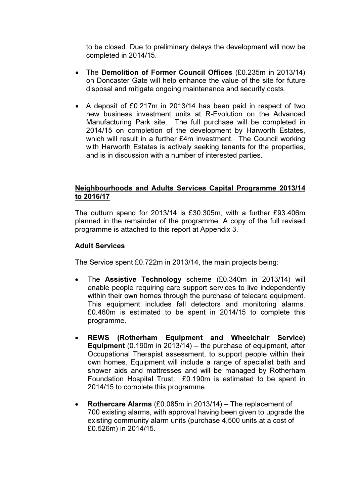to be closed. Due to preliminary delays the development will now be completed in 2014/15.

- The Demolition of Former Council Offices (£0.235m in 2013/14) on Doncaster Gate will help enhance the value of the site for future disposal and mitigate ongoing maintenance and security costs.
- A deposit of £0.217m in 2013/14 has been paid in respect of two new business investment units at R-Evolution on the Advanced Manufacturing Park site. The full purchase will be completed in 2014/15 on completion of the development by Harworth Estates, which will result in a further £4m investment. The Council working with Harworth Estates is actively seeking tenants for the properties, and is in discussion with a number of interested parties.

## Neighbourhoods and Adults Services Capital Programme 2013/14 to 2016/17

The outturn spend for 2013/14 is £30.305m, with a further £93.406m planned in the remainder of the programme. A copy of the full revised programme is attached to this report at Appendix 3.

## Adult Services

The Service spent £0.722m in 2013/14, the main projects being:

- The **Assistive Technology** scheme (£0.340m in 2013/14) will enable people requiring care support services to live independently within their own homes through the purchase of telecare equipment. This equipment includes fall detectors and monitoring alarms. £0.460m is estimated to be spent in 2014/15 to complete this programme.
- REWS (Rotherham Equipment and Wheelchair Service) Equipment (0.190m in 2013/14) – the purchase of equipment, after Occupational Therapist assessment, to support people within their own homes. Equipment will include a range of specialist bath and shower aids and mattresses and will be managed by Rotherham Foundation Hospital Trust. £0.190m is estimated to be spent in 2014/15 to complete this programme.
- Rothercare Alarms (£0.085m in 2013/14) The replacement of 700 existing alarms, with approval having been given to upgrade the existing community alarm units (purchase 4,500 units at a cost of £0.526m) in 2014/15.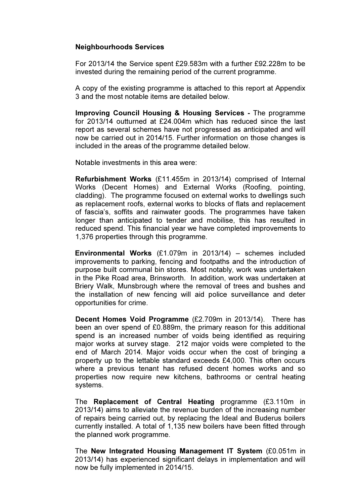### Neighbourhoods Services

For 2013/14 the Service spent £29.583m with a further £92.228m to be invested during the remaining period of the current programme.

A copy of the existing programme is attached to this report at Appendix 3 and the most notable items are detailed below.

Improving Council Housing & Housing Services - The programme for 2013/14 outturned at £24.004m which has reduced since the last report as several schemes have not progressed as anticipated and will now be carried out in 2014/15. Further information on those changes is included in the areas of the programme detailed below.

Notable investments in this area were:

Refurbishment Works (£11.455m in 2013/14) comprised of Internal Works (Decent Homes) and External Works (Roofing, pointing, cladding). The programme focused on external works to dwellings such as replacement roofs, external works to blocks of flats and replacement of fascia's, soffits and rainwater goods. The programmes have taken longer than anticipated to tender and mobilise, this has resulted in reduced spend. This financial year we have completed improvements to 1,376 properties through this programme.

Environmental Works (£1.079m in 2013/14) – schemes included improvements to parking, fencing and footpaths and the introduction of purpose built communal bin stores. Most notably, work was undertaken in the Pike Road area, Brinsworth. In addition, work was undertaken at Briery Walk, Munsbrough where the removal of trees and bushes and the installation of new fencing will aid police surveillance and deter opportunities for crime.

Decent Homes Void Programme (£2.709m in 2013/14). There has been an over spend of £0.889m, the primary reason for this additional spend is an increased number of voids being identified as requiring major works at survey stage. 212 major voids were completed to the end of March 2014. Major voids occur when the cost of bringing a property up to the lettable standard exceeds £4,000. This often occurs where a previous tenant has refused decent homes works and so properties now require new kitchens, bathrooms or central heating systems.

The Replacement of Central Heating programme (£3.110m in 2013/14) aims to alleviate the revenue burden of the increasing number of repairs being carried out, by replacing the Ideal and Buderus boilers currently installed. A total of 1,135 new boilers have been fitted through the planned work programme.

The New Integrated Housing Management IT System (£0.051m in 2013/14) has experienced significant delays in implementation and will now be fully implemented in 2014/15.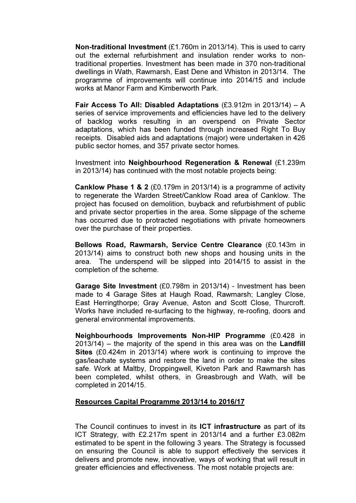Non-traditional Investment (£1.760m in 2013/14). This is used to carry out the external refurbishment and insulation render works to nontraditional properties. Investment has been made in 370 non-traditional dwellings in Wath, Rawmarsh, East Dene and Whiston in 2013/14. The programme of improvements will continue into 2014/15 and include works at Manor Farm and Kimberworth Park.

Fair Access To All: Disabled Adaptations (£3.912m in 2013/14) – A series of service improvements and efficiencies have led to the delivery of backlog works resulting in an overspend on Private Sector adaptations, which has been funded through increased Right To Buy receipts. Disabled aids and adaptations (major) were undertaken in 426 public sector homes, and 357 private sector homes.

Investment into Neighbourhood Regeneration & Renewal (£1.239m in 2013/14) has continued with the most notable projects being:

Canklow Phase 1 & 2 (£0.179m in 2013/14) is a programme of activity to regenerate the Warden Street/Canklow Road area of Canklow. The project has focused on demolition, buyback and refurbishment of public and private sector properties in the area. Some slippage of the scheme has occurred due to protracted negotiations with private homeowners over the purchase of their properties.

Bellows Road, Rawmarsh, Service Centre Clearance (£0.143m in 2013/14) aims to construct both new shops and housing units in the area. The underspend will be slipped into 2014/15 to assist in the completion of the scheme.

Garage Site Investment (£0.798m in 2013/14) - Investment has been made to 4 Garage Sites at Haugh Road, Rawmarsh; Langley Close, East Herringthorpe; Gray Avenue, Aston and Scott Close, Thurcroft. Works have included re-surfacing to the highway, re-roofing, doors and general environmental improvements.

Neighbourhoods Improvements Non-HIP Programme (£0.428 in  $2013/14$  – the majority of the spend in this area was on the **Landfill** Sites (£0.424m in 2013/14) where work is continuing to improve the gas/leachate systems and restore the land in order to make the sites safe. Work at Maltby, Droppingwell, Kiveton Park and Rawmarsh has been completed, whilst others, in Greasbrough and Wath, will be completed in 2014/15.

## Resources Capital Programme 2013/14 to 2016/17

The Council continues to invest in its ICT infrastructure as part of its ICT Strategy, with £2.217m spent in 2013/14 and a further £3.082m estimated to be spent in the following 3 years. The Strategy is focussed on ensuring the Council is able to support effectively the services it delivers and promote new, innovative, ways of working that will result in greater efficiencies and effectiveness. The most notable projects are: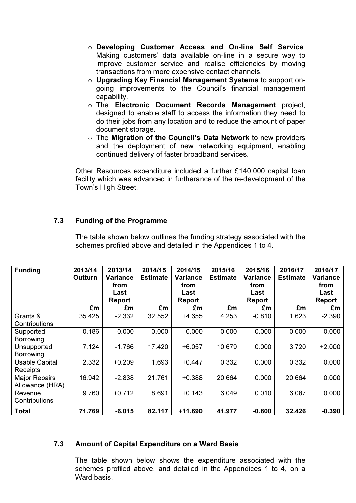- o Developing Customer Access and On-line Self Service. Making customers' data available on-line in a secure way to improve customer service and realise efficiencies by moving transactions from more expensive contact channels.
- o Upgrading Key Financial Management Systems to support ongoing improvements to the Council's financial management capability.
- o The Electronic Document Records Management project, designed to enable staff to access the information they need to do their jobs from any location and to reduce the amount of paper document storage.
- $\circ$  The Migration of the Council's Data Network to new providers and the deployment of new networking equipment, enabling continued delivery of faster broadband services.

Other Resources expenditure included a further £140,000 capital loan facility which was advanced in furtherance of the re-development of the Town's High Street.

## 7.3 Funding of the Programme

 The table shown below outlines the funding strategy associated with the schemes profiled above and detailed in the Appendices 1 to 4.

| <b>Funding</b>                           | 2013/14<br><b>Outturn</b> | 2013/14<br><b>Variance</b><br>from<br>Last<br>Report | 2014/15<br><b>Estimate</b> | 2014/15<br><b>Variance</b><br>from<br>Last<br>Report | 2015/16<br><b>Estimate</b> | 2015/16<br>Variance<br>from<br>Last<br><b>Report</b> | 2016/17<br><b>Estimate</b> | 2016/17<br>Variance<br>from<br>Last<br><b>Report</b> |
|------------------------------------------|---------------------------|------------------------------------------------------|----------------------------|------------------------------------------------------|----------------------------|------------------------------------------------------|----------------------------|------------------------------------------------------|
|                                          | £m                        | £m                                                   | £m                         | £m                                                   | £m                         | £m                                                   | £m                         | £m                                                   |
| Grants &<br>Contributions                | 35.425                    | $-2.332$                                             | 32.552                     | +4.655                                               | 4.253                      | $-0.810$                                             | 1.623                      | $-2.390$                                             |
| Supported<br>Borrowing                   | 0.186                     | 0.000                                                | 0.000                      | 0.000                                                | 0.000                      | 0.000                                                | 0.000                      | 0.000                                                |
| Unsupported<br>Borrowing                 | 7.124                     | $-1.766$                                             | 17.420                     | $+6.057$                                             | 10.679                     | 0.000                                                | 3.720                      | $+2.000$                                             |
| <b>Usable Capital</b><br><b>Receipts</b> | 2.332                     | $+0.209$                                             | 1.693                      | $+0.447$                                             | 0.332                      | 0.000                                                | 0.332                      | 0.000                                                |
| <b>Major Repairs</b><br>Allowance (HRA)  | 16.942                    | $-2.838$                                             | 21.761                     | $+0.388$                                             | 20.664                     | 0.000                                                | 20.664                     | 0.000                                                |
| Revenue<br>Contributions                 | 9.760                     | $+0.712$                                             | 8.691                      | $+0.143$                                             | 6.049                      | 0.010                                                | 6.087                      | 0.000                                                |
| <b>Total</b>                             | 71.769                    | $-6.015$                                             | 82.117                     | $+11.690$                                            | 41.977                     | $-0.800$                                             | 32.426                     | $-0.390$                                             |

## 7.3 Amount of Capital Expenditure on a Ward Basis

The table shown below shows the expenditure associated with the schemes profiled above, and detailed in the Appendices 1 to 4, on a Ward basis.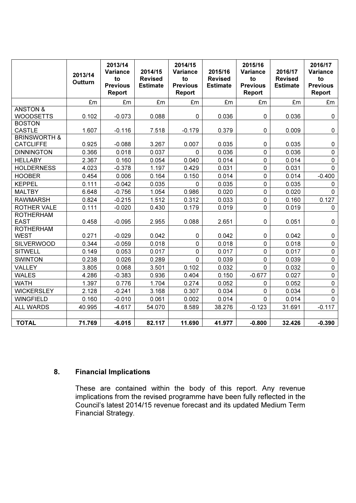|                                             | 2013/14<br>Outturn | 2013/14<br>Variance<br>to<br><b>Previous</b><br>Report | 2014/15<br><b>Revised</b><br><b>Estimate</b> | 2014/15<br><b>Variance</b><br>to<br><b>Previous</b><br>Report | 2015/16<br><b>Revised</b><br><b>Estimate</b> | 2015/16<br>Variance<br>to<br><b>Previous</b><br>Report | 2016/17<br><b>Revised</b><br><b>Estimate</b> | 2016/17<br>Variance<br>to<br><b>Previous</b><br>Report |
|---------------------------------------------|--------------------|--------------------------------------------------------|----------------------------------------------|---------------------------------------------------------------|----------------------------------------------|--------------------------------------------------------|----------------------------------------------|--------------------------------------------------------|
|                                             | £m                 | £m                                                     | £m                                           | £m                                                            | £m                                           | £m                                                     | £m                                           | £m                                                     |
| <b>ANSTON &amp;</b><br><b>WOODSETTS</b>     | 0.102              | $-0.073$                                               | 0.088                                        | 0                                                             | 0.036                                        | 0                                                      | 0.036                                        | 0                                                      |
| <b>BOSTON</b><br><b>CASTLE</b>              | 1.607              | $-0.116$                                               | 7.518                                        | $-0.179$                                                      | 0.379                                        | 0                                                      | 0.009                                        | $\pmb{0}$                                              |
| <b>BRINSWORTH &amp;</b><br><b>CATCLIFFE</b> | 0.925              | $-0.088$                                               | 3.267                                        | 0.007                                                         | 0.035                                        | 0                                                      | 0.035                                        | $\mathbf 0$                                            |
| <b>DINNINGTON</b>                           | 0.366              | 0.018                                                  | 0.037                                        | $\mathbf 0$                                                   | 0.036                                        | 0                                                      | 0.036                                        | $\mathbf 0$                                            |
| <b>HELLABY</b>                              | 2.367              | 0.160                                                  | 0.054                                        | 0.040                                                         | 0.014                                        | $\mathsf{O}$                                           | 0.014                                        | $\pmb{0}$                                              |
| <b>HOLDERNESS</b>                           | 4.023              | $-0.378$                                               | 1.197                                        | 0.429                                                         | 0.031                                        | 0                                                      | 0.031                                        | $\mathbf 0$                                            |
| <b>HOOBER</b>                               | 0.454              | 0.006                                                  | 0.164                                        | 0.150                                                         | 0.014                                        | 0                                                      | 0.014                                        | $-0.400$                                               |
| <b>KEPPEL</b>                               | 0.111              | $-0.042$                                               | 0.035                                        | $\mathbf 0$                                                   | 0.035                                        | 0                                                      | 0.035                                        | 0                                                      |
| <b>MALTBY</b>                               | 6.648              | $-0.756$                                               | 1.054                                        | 0.986                                                         | 0.020                                        | 0                                                      | 0.020                                        | 0                                                      |
| <b>RAWMARSH</b>                             | 0.824              | $-0.215$                                               | 1.512                                        | 0.312                                                         | 0.033                                        | 0                                                      | 0.160                                        | 0.127                                                  |
| ROTHER VALE                                 | 0.111              | $-0.020$                                               | 0.430                                        | 0.179                                                         | 0.019                                        | 0                                                      | 0.019                                        | $\mathbf 0$                                            |
| <b>ROTHERHAM</b><br><b>EAST</b>             | 0.458              | $-0.095$                                               | 2.955                                        | 0.088                                                         | 2.651                                        | 0                                                      | 0.051                                        | 0                                                      |
| <b>ROTHERHAM</b><br><b>WEST</b>             | 0.271              | $-0.029$                                               | 0.042                                        | 0                                                             | 0.042                                        | 0                                                      | 0.042                                        | 0                                                      |
| <b>SILVERWOOD</b>                           | 0.344              | $-0.059$                                               | 0.018                                        | $\pmb{0}$                                                     | 0.018                                        | 0                                                      | 0.018                                        | $\pmb{0}$                                              |
| <b>SITWELL</b>                              | 0.149              | 0.053                                                  | 0.017                                        | $\mathbf 0$                                                   | 0.017                                        | 0                                                      | 0.017                                        | $\mathsf{O}\xspace$                                    |
| <b>SWINTON</b>                              | 0.238              | 0.026                                                  | 0.289                                        | $\mathbf 0$                                                   | 0.039                                        | 0                                                      | 0.039                                        | $\mathsf 0$                                            |
| <b>VALLEY</b>                               | 3.805              | 0.068                                                  | 3.501                                        | 0.102                                                         | 0.032                                        | $\overline{0}$                                         | 0.032                                        | $\pmb{0}$                                              |
| <b>WALES</b>                                | 4.286              | $-0.383$                                               | 0.936                                        | 0.404                                                         | 0.150                                        | $-0.677$                                               | 0.027                                        | $\pmb{0}$                                              |
| <b>WATH</b>                                 | 1.397              | 0.776                                                  | 1.704                                        | 0.274                                                         | 0.052                                        | 0                                                      | 0.052                                        | $\pmb{0}$                                              |
| <b>WICKERSLEY</b>                           | 2.128              | $-0.241$                                               | 3.168                                        | 0.307                                                         | 0.034                                        | 0                                                      | 0.034                                        | $\mathsf{O}\xspace$                                    |
| <b>WINGFIELD</b>                            | 0.160              | $-0.010$                                               | 0.061                                        | 0.002                                                         | 0.014                                        | 0                                                      | 0.014                                        | $\mathsf{O}$                                           |
| <b>ALL WARDS</b>                            | 40.995             | $-4.617$                                               | 54.070                                       | 8.589                                                         | 38.276                                       | $-0.123$                                               | 31.691                                       | $-0.117$                                               |
| <b>TOTAL</b>                                | 71.769             | $-6.015$                                               | 82.117                                       | 11.690                                                        | 41.977                                       | $-0.800$                                               | 32.426                                       | $-0.390$                                               |

# 8. Financial Implications

These are contained within the body of this report. Any revenue implications from the revised programme have been fully reflected in the Council's latest 2014/15 revenue forecast and its updated Medium Term Financial Strategy.